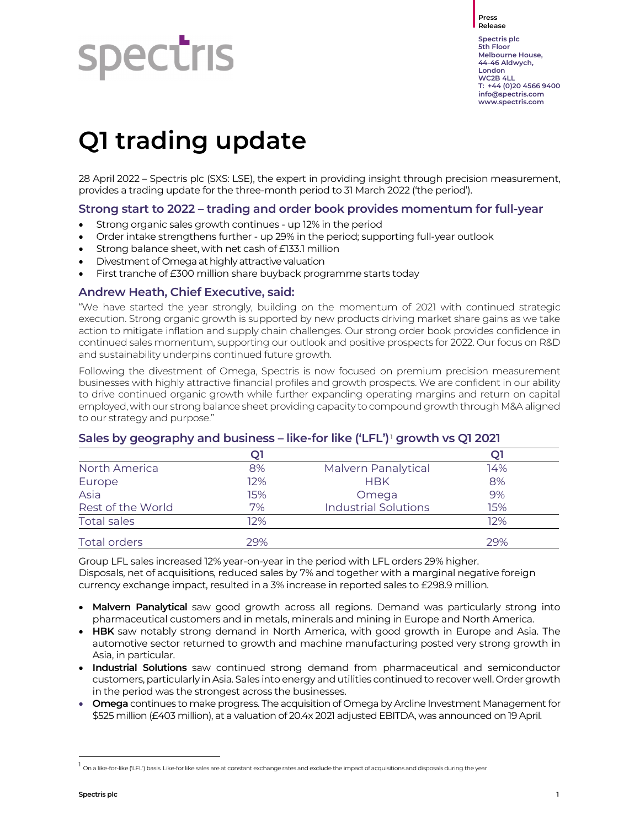Press Release

# **Spectris**

Spectris plc 5th Floor Melbourne House, 44-46 Aldwych, London WC2B 4LL T: +44 (0)20 4566 9400 info@spectris.com www.spectris.com

## Q1 trading update

28 April 2022 – Spectris plc (SXS: LSE), the expert in providing insight through precision measurement, provides a trading update for the three-month period to 31 March 2022 ('the period').

#### Strong start to 2022 – trading and order book provides momentum for full-year

- Strong organic sales growth continues up 12% in the period
- Order intake strengthens further up 29% in the period; supporting full-year outlook
- Strong balance sheet, with net cash of £133.1 million
- Divestment of Omega at highly attractive valuation
- First tranche of £300 million share buyback programme starts today

#### Andrew Heath, Chief Executive, said:

"We have started the year strongly, building on the momentum of 2021 with continued strategic execution. Strong organic growth is supported by new products driving market share gains as we take action to mitigate inflation and supply chain challenges. Our strong order book provides confidence in continued sales momentum, supporting our outlook and positive prospects for 2022. Our focus on R&D and sustainability underpins continued future growth.

Following the divestment of Omega, Spectris is now focused on premium precision measurement businesses with highly attractive financial profiles and growth prospects. We are confident in our ability to drive continued organic growth while further expanding operating margins and return on capital employed, with our strong balance sheet providing capacity to compound growth through M&A aligned to our strategy and purpose."

| - -                 | . . |                             |     |  |
|---------------------|-----|-----------------------------|-----|--|
|                     | Q1  |                             |     |  |
| North America       | 8%  | Malvern Panalytical         | 14% |  |
| Europe              | 12% | <b>HBK</b>                  | 8%  |  |
| Asia                | 15% | Omega                       | 9%  |  |
| Rest of the World   | 7%  | <b>Industrial Solutions</b> | 15% |  |
| <b>Total sales</b>  | 12% |                             | 12% |  |
| <b>Total orders</b> | 29% |                             | 29% |  |

#### Sales by geography and business – like-for like ('LFL')<sup>1</sup> growth vs Q1 2021

Group LFL sales increased 12% year-on-year in the period with LFL orders 29% higher. Disposals, net of acquisitions, reduced sales by 7% and together with a marginal negative foreign currency exchange impact, resulted in a 3% increase in reported sales to £298.9 million.

- Malvern Panalytical saw good growth across all regions. Demand was particularly strong into pharmaceutical customers and in metals, minerals and mining in Europe and North America.
- HBK saw notably strong demand in North America, with good growth in Europe and Asia. The automotive sector returned to growth and machine manufacturing posted very strong growth in Asia, in particular.
- Industrial Solutions saw continued strong demand from pharmaceutical and semiconductor customers, particularly in Asia. Sales into energy and utilities continued to recover well. Order growth in the period was the strongest across the businesses.
- **Omega** continues to make progress. The acquisition of Omega by Arcline Investment Management for \$525 million (£403 million), at a valuation of 20.4x 2021 adjusted EBITDA, was announced on 19 April.

 $^1$  On a like-for-like ('LFL') basis. Like-for like sales are at constant exchange rates and exclude the impact of acquisitions and disposals during the year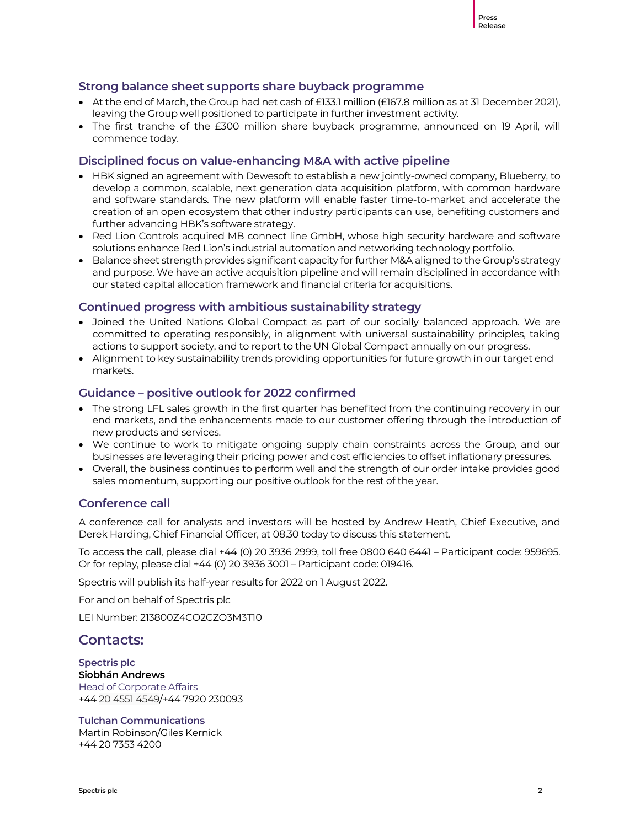

#### Strong balance sheet supports share buyback programme

- $\bullet$  At the end of March, the Group had net cash of £133.1 million (£167.8 million as at 31 December 2021), leaving the Group well positioned to participate in further investment activity.
- The first tranche of the £300 million share buyback programme, announced on 19 April, will commence today.

#### Disciplined focus on value-enhancing M&A with active pipeline

- HBK signed an agreement with Dewesoft to establish a new jointly-owned company, Blueberry, to develop a common, scalable, next generation data acquisition platform, with common hardware and software standards. The new platform will enable faster time-to-market and accelerate the creation of an open ecosystem that other industry participants can use, benefiting customers and further advancing HBK's software strategy.
- Red Lion Controls acquired MB connect line GmbH, whose high security hardware and software solutions enhance Red Lion's industrial automation and networking technology portfolio.
- Balance sheet strength provides significant capacity for further M&A aligned to the Group's strategy and purpose. We have an active acquisition pipeline and will remain disciplined in accordance with our stated capital allocation framework and financial criteria for acquisitions.

#### Continued progress with ambitious sustainability strategy

- Joined the United Nations Global Compact as part of our socially balanced approach. We are committed to operating responsibly, in alignment with universal sustainability principles, taking actions to support society, and to report to the UN Global Compact annually on our progress.
- Alignment to key sustainability trends providing opportunities for future growth in our target end markets.

#### Guidance – positive outlook for 2022 confirmed

- The strong LFL sales growth in the first quarter has benefited from the continuing recovery in our end markets, and the enhancements made to our customer offering through the introduction of new products and services.
- We continue to work to mitigate ongoing supply chain constraints across the Group, and our businesses are leveraging their pricing power and cost efficiencies to offset inflationary pressures.
- Overall, the business continues to perform well and the strength of our order intake provides good sales momentum, supporting our positive outlook for the rest of the year.

#### Conference call

A conference call for analysts and investors will be hosted by Andrew Heath, Chief Executive, and Derek Harding, Chief Financial Officer, at 08.30 today to discuss this statement.

To access the call, please dial +44 (0) 20 3936 2999, toll free 0800 640 6441 – Participant code: 959695. Or for replay, please dial +44 (0) 20 3936 3001 – Participant code: 019416.

Spectris will publish its half-year results for 2022 on 1 August 2022.

For and on behalf of Spectris plc

LEI Number: 213800Z4CO2CZO3M3T10

#### Contacts:

Spectris plc Siobhán Andrews Head of Corporate Affairs +44 20 4551 4549/+44 7920 230093

Tulchan Communications

Martin Robinson/Giles Kernick +44 20 7353 4200